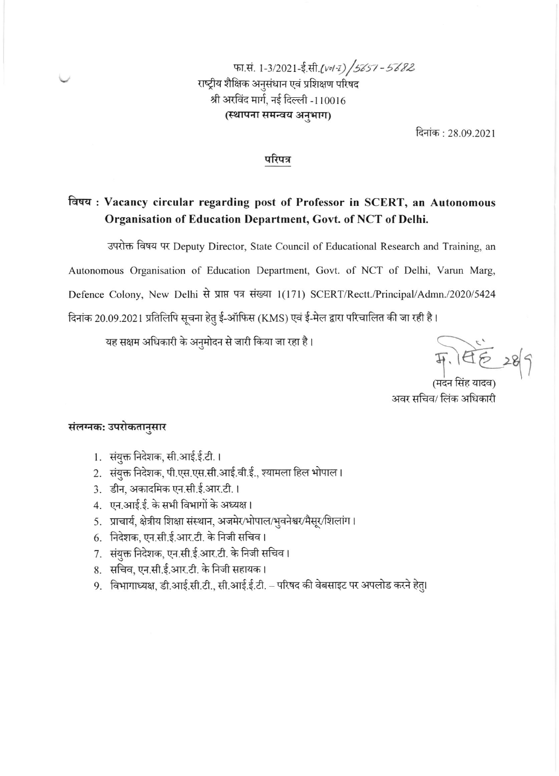फा.सं. 1-3/2021-ई.सी.(vol-z) /5657 - 5682 राष्ट्रीय शैक्षिक अनुसंधान एवं प्रशिक्षण परिषद श्री अरविंद मार्ग, नई दिल्ली -110016 (स्थापना समन्वय अनुभाग)

दिनांक : 28.09.2021

## परिपत्र

# विषय: Vacancy circular regarding post of Professor in SCERT, an Autonomous Organisation of Education Department, Govt. of NCT of Delhi.

उपरोक्त विषय पर Deputy Director, State Council of Educational Research and Training, an Autonomous Organisation of Education Department, Govt. of NCT of Delhi, Varun Marg, Defence Colony, New Delhi से प्राप्त पत्र संख्या 1(171) SCERT/Rectt./Principal/Admn./2020/5424 दिनांक 20.09.2021 प्रतिलिपि सूचना हेतु ई-ऑफिस (KMS) एवं ई-मेल द्वारा परिचालित की जा रही है।

यह सक्षम अधिकारी के अनुमोदन से जारी किया जा रहा है।

开, 145 28 9 (मदन सिंह यादव)

अवर सचिव/ लिंक अधिकारी

## संलग्नक: उपरोकतानुसार

- 1. संयुक्त निदेशक, सी.आई.ई.टी.।
- 2. संयुक्त निदेशक, पी.एस.एस.सी.आई.वी.ई., श्यामला हिल भोपाल।
- 3. डीन, अकादमिक एन.सी.ई.आर.टी.।
- 4. एन.आई.ई. के सभी विभागों के अध्यक्ष।
- 5. प्राचार्य, क्षेत्रीय शिक्षा संस्थान, अजमेर/भोपाल/भुवनेश्वर/मैसूर/शिलांग।
- 6. निदेशक, एन.सी.ई.आर.टी. के निजी सचिव।
- 7. संयुक्त निदेशक, एन.सी.ई.आर.टी. के निजी सचिव।
- 8. सचिव, एन.सी.ई.आर.टी. के निजी सहायक।
- 9. विभागाध्यक्ष, डी.आई.सी.टी., सी.आई.ई.टी. परिषद की वेबसाइट पर अपलोड करने हेतु।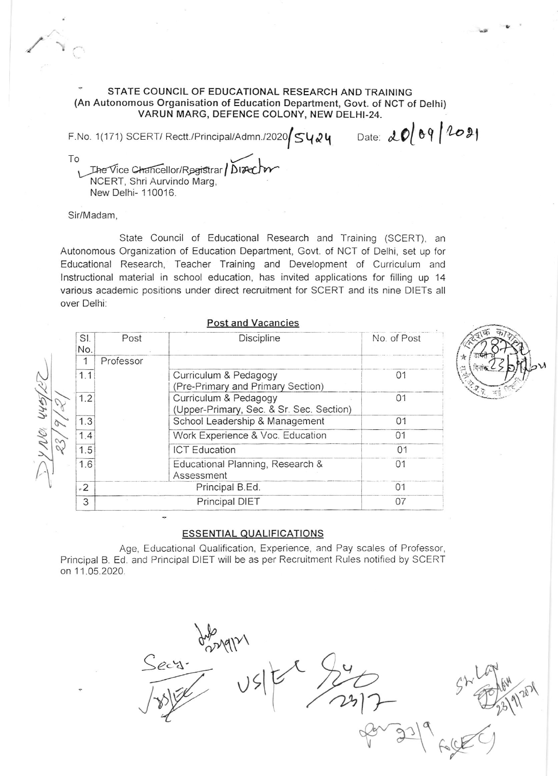STATE COUNCIL OF EDUCATIONAL RESEARCH AND TRAINING (An Autonomous Organisation of Education Department, Govt. of NCT of Delhi) VARUN MARG, DEFENCE COLONY, NEW DELHI-24.

F.No. 1(171) SCERT/Rectt./Principal/Admn./2020  $\frac{1}{54}$  Date:  $20$   $\frac{1}{6}$   $\frac{1}{6}$   $\frac{1}{10}$ To

The Vice Chancellor/Registrar | Disector NCERT, Shri Aurvindo Marg. New Delhi- 110016.

Sir/Madam.

State Council of Educational Research and Training (SCERT), an Autonomous Organization of Education Department, Govt. of NCT of Delhi, set up for Educational Research, Teacher Training and Development of Curriculum and Instructional material in school education, has invited applications for filling up 14 various academic positions under direct recruitment for SCERT and its nine DIETs all over Delhi:

 $\mathbf{t}$  and  $\mathbf{M}$  and  $\mathbf{t}$ 

|            |                 | FUST ally vacalities                                              |             |
|------------|-----------------|-------------------------------------------------------------------|-------------|
| SI.<br>No. | Post            | Discipline                                                        | No. of Post |
|            | Professor       |                                                                   |             |
| 1.1        |                 | Curriculum & Pedagogy<br>(Pre-Primary and Primary Section)        | 01          |
| 1.2        |                 | Curriculum & Pedagogy<br>(Upper-Primary, Sec. & Sr. Sec. Section) | 01          |
| 1.3        |                 | School Leadership & Management                                    | 01          |
| 1.4        |                 | Work Experience & Voc. Education                                  | 01          |
| 1.5        |                 | <b>ICT Education</b>                                              | 01          |
| 1.6        |                 | Educational Planning, Research &<br>Assessment                    | 01          |
| $-2$       | Principal B.Ed. |                                                                   | 01          |
| 3          | Principal DIET  |                                                                   | 07          |
|            |                 |                                                                   |             |

## **ESSENTIAL QUALIFICATIONS**

Age, Educational Qualification, Experience, and Pay scales of Professor, Principal B. Ed. and Principal DIET will be as per Recruitment Rules notified by SCERT on 11.05.2020.

Secy. Origin